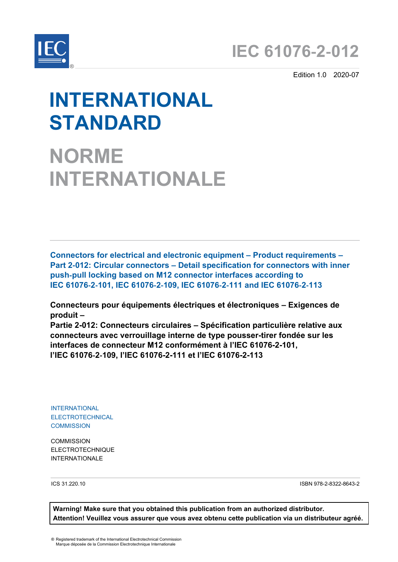

Edition 1.0 2020-07

# **INTERNATIONAL STANDARD**

# **NORME INTERNATIONALE**

**Connectors for electrical and electronic equipment – Product requirements – Part 2**‑**012: Circular connectors – Detail specification for connectors with inner push**‑**pull locking based on M12 connector interfaces according to IEC 61076**‑**2**‑**101, IEC 61076**‑**2**‑**109, IEC 61076**‑**2**‑**111 and IEC 61076**‑**2**‑**113** 

**Connecteurs pour équipements électriques et électroniques – Exigences de produit –** 

**Partie 2-012: Connecteurs circulaires – Spécification particulière relative aux connecteurs avec verrouillage interne de type pousser-tirer fondée sur les interfaces de connecteur M12 conformément à l'IEC 61076-2-101, l'IEC 61076**‑**2**‑**109, l'IEC 61076-2-111 et l'IEC 61076-2-113**

INTERNATIONAL ELECTROTECHNICAL **COMMISSION** 

**COMMISSION** ELECTROTECHNIQUE INTERNATIONALE

ICS 31.220.10 ISBN 978-2-8322-8643-2

**Warning! Make sure that you obtained this publication from an authorized distributor. Attention! Veuillez vous assurer que vous avez obtenu cette publication via un distributeur agréé.**

® Registered trademark of the International Electrotechnical Commission Marque déposée de la Commission Electrotechnique Internationale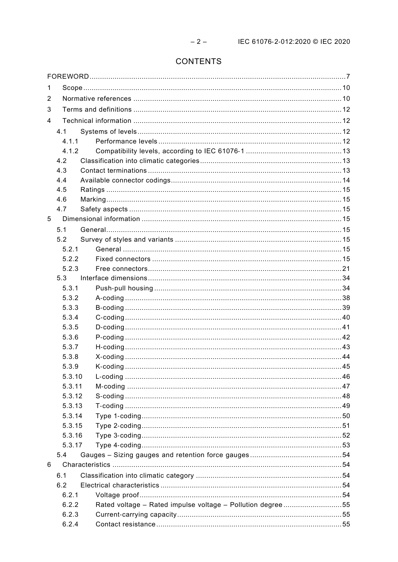# CONTENTS

| 1 |        |                                                            |  |
|---|--------|------------------------------------------------------------|--|
| 2 |        |                                                            |  |
| 3 |        |                                                            |  |
| 4 |        |                                                            |  |
|   | 4.1    |                                                            |  |
|   | 4.1.1  |                                                            |  |
|   | 4.1.2  |                                                            |  |
|   | 4.2    |                                                            |  |
|   | 4.3    |                                                            |  |
|   | 4.4    |                                                            |  |
|   | 4.5    |                                                            |  |
|   | 4.6    |                                                            |  |
|   | 4.7    |                                                            |  |
| 5 |        |                                                            |  |
|   |        |                                                            |  |
|   | 5.1    |                                                            |  |
|   | 5.2    |                                                            |  |
|   | 5.2.1  |                                                            |  |
|   | 5.2.2  |                                                            |  |
|   | 5.2.3  |                                                            |  |
|   | 5.3    |                                                            |  |
|   | 5.3.1  |                                                            |  |
|   | 5.3.2  |                                                            |  |
|   | 5.3.3  |                                                            |  |
|   | 5.3.4  |                                                            |  |
|   | 5.3.5  |                                                            |  |
|   | 5.3.6  |                                                            |  |
|   | 5.3.7  |                                                            |  |
|   | 5.3.8  |                                                            |  |
|   | 5.3.9  |                                                            |  |
|   | 5.3.10 |                                                            |  |
|   | 5.3.11 |                                                            |  |
|   | 5.3.12 |                                                            |  |
|   | 5.3.13 |                                                            |  |
|   | 5.3.14 |                                                            |  |
|   | 5.3.15 |                                                            |  |
|   | 5.3.16 |                                                            |  |
|   | 5.3.17 |                                                            |  |
|   | 5.4    |                                                            |  |
| 6 |        |                                                            |  |
|   | 6.1    |                                                            |  |
|   | 6.2    |                                                            |  |
|   | 6.2.1  |                                                            |  |
|   | 6.2.2  | Rated voltage - Rated impulse voltage - Pollution degree55 |  |
|   | 6.2.3  |                                                            |  |
|   | 6.2.4  |                                                            |  |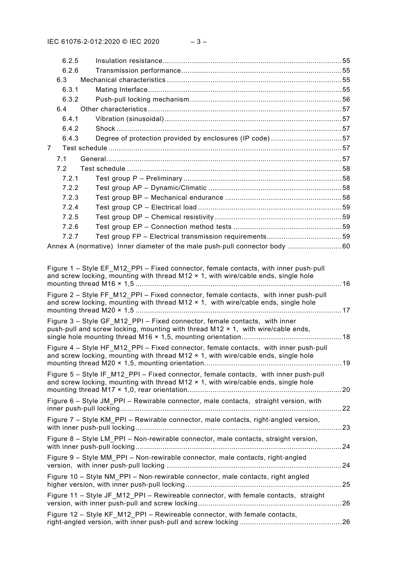| 6.2.5 |                                                                                                                                                                                    |  |
|-------|------------------------------------------------------------------------------------------------------------------------------------------------------------------------------------|--|
| 6.2.6 |                                                                                                                                                                                    |  |
| 6.3   |                                                                                                                                                                                    |  |
| 6.3.1 |                                                                                                                                                                                    |  |
| 6.3.2 |                                                                                                                                                                                    |  |
| 6.4   |                                                                                                                                                                                    |  |
| 6.4.1 |                                                                                                                                                                                    |  |
| 6.4.2 |                                                                                                                                                                                    |  |
| 6.4.3 | Degree of protection provided by enclosures (IP code)57                                                                                                                            |  |
| 7     |                                                                                                                                                                                    |  |
| 7.1   |                                                                                                                                                                                    |  |
| 7.2   |                                                                                                                                                                                    |  |
| 7.2.1 |                                                                                                                                                                                    |  |
| 7.2.2 |                                                                                                                                                                                    |  |
| 7.2.3 |                                                                                                                                                                                    |  |
| 7.2.4 |                                                                                                                                                                                    |  |
| 7.2.5 |                                                                                                                                                                                    |  |
| 7.2.6 |                                                                                                                                                                                    |  |
| 7.2.7 |                                                                                                                                                                                    |  |
|       | Annex A (normative) Inner diameter of the male push-pull connector body  60                                                                                                        |  |
|       | and screw locking, mounting with thread $M12 \times 1$ , with wire/cable ends, single hole<br>Figure 2 - Style FF M12 PPI - Fixed connector, female contacts, with inner push-pull |  |
|       | and screw locking, mounting with thread M12 × 1, with wire/cable ends, single hole                                                                                                 |  |
|       | Figure 3 – Style GF M12 PPI – Fixed connector, female contacts, with inner<br>push-pull and screw locking, mounting with thread M12 x 1, with wire/cable ends,                     |  |
|       | Figure 4 – Style HF_M12_PPI – Fixed connector, female contacts, with inner push-pull<br>and screw locking, mounting with thread M12 x 1, with wire/cable ends, single hole         |  |
|       | Figure 5 - Style IF M12 PPI - Fixed connector, female contacts, with inner push-pull<br>and screw locking, mounting with thread $M12 \times 1$ , with wire/cable ends, single hole |  |
|       | Figure 6 – Style JM PPI – Rewirable connector, male contacts, straight version, with                                                                                               |  |
|       | Figure 7 - Style KM_PPI - Rewirable connector, male contacts, right-angled version,                                                                                                |  |
|       | Figure 8 - Style LM_PPI - Non-rewirable connector, male contacts, straight version,                                                                                                |  |
|       | Figure 9 - Style MM_PPI - Non-rewirable connector, male contacts, right-angled                                                                                                     |  |
|       | Figure 10 - Style NM_PPI - Non-rewirable connector, male contacts, right angled                                                                                                    |  |
|       | Figure 11 - Style JF_M12_PPI - Rewireable connector, with female contacts, straight                                                                                                |  |
|       | Figure 12 - Style KF_M12_PPI - Rewireable connector, with female contacts,                                                                                                         |  |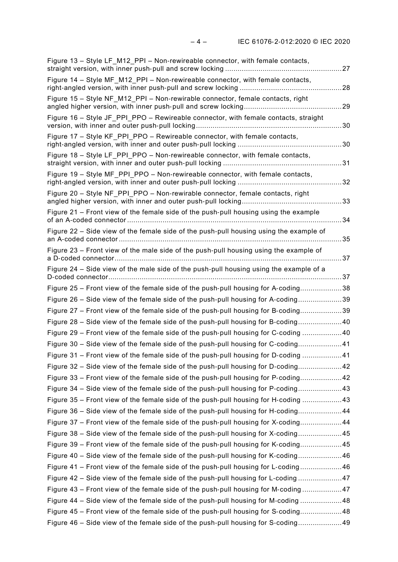| Figure 13 - Style LF_M12_PPI - Non-rewireable connector, with female contacts,         | 27   |
|----------------------------------------------------------------------------------------|------|
| Figure 14 – Style MF M12 PPI – Non-rewireable connector, with female contacts,         | 28   |
| Figure 15 - Style NF M12 PPI - Non-rewirable connector, female contacts, right         | 29   |
| Figure 16 - Style JF_PPI_PPO - Rewireable connector, with female contacts, straight    | 30   |
| Figure 17 - Style KF PPI PPO - Rewireable connector, with female contacts,             | 30   |
| Figure 18 - Style LF_PPI_PPO - Non-rewireable connector, with female contacts,         | 31   |
| Figure 19 – Style MF PPI PPO – Non-rewireable connector, with female contacts,         |      |
| Figure 20 - Style NF PPI PPO - Non-rewirable connector, female contacts, right         | 33   |
| Figure 21 – Front view of the female side of the push-pull housing using the example   | 34   |
| Figure 22 - Side view of the female side of the push-pull housing using the example of | .35  |
| Figure 23 – Front view of the male side of the push-pull housing using the example of  | 37   |
| Figure 24 – Side view of the male side of the push-pull housing using the example of a | . 37 |
| Figure 25 – Front view of the female side of the push-pull housing for A-coding38      |      |
| Figure 26 – Side view of the female side of the push-pull housing for A-coding39       |      |
| Figure 27 – Front view of the female side of the push-pull housing for B-coding39      |      |
| Figure 28 – Side view of the female side of the push-pull housing for B-coding40       |      |
| Figure 29 – Front view of the female side of the push-pull housing for C-coding 40     |      |
| Figure 30 – Side view of the female side of the push-pull housing for C-coding41       |      |
| Figure 31 – Front view of the female side of the push-pull housing for D-coding 41     |      |
| Figure 32 – Side view of the female side of the push-pull housing for D-coding42       |      |
| Figure 33 – Front view of the female side of the push-pull housing for P-coding42      |      |
| Figure 34 – Side view of the female side of the push-pull housing for P-coding43       |      |
| Figure 35 - Front view of the female side of the push-pull housing for H-coding 43     |      |
| Figure 36 – Side view of the female side of the push-pull housing for H-coding44       |      |
| Figure 37 – Front view of the female side of the push-pull housing for X-coding44      |      |
| Figure 38 – Side view of the female side of the push-pull housing for X-coding45       |      |
| Figure 39 – Front view of the female side of the push-pull housing for K-coding45      |      |
| Figure 40 – Side view of the female side of the push-pull housing for K-coding46       |      |
| Figure 41 – Front view of the female side of the push-pull housing for L-coding46      |      |
| Figure 42 – Side view of the female side of the push-pull housing for L-coding 47      |      |
| Figure 43 – Front view of the female side of the push-pull housing for M-coding47      |      |
| Figure 44 – Side view of the female side of the push-pull housing for M-coding 48      |      |
| Figure 45 - Front view of the female side of the push-pull housing for S-coding48      |      |
| Figure 46 – Side view of the female side of the push-pull housing for S-coding49       |      |
|                                                                                        |      |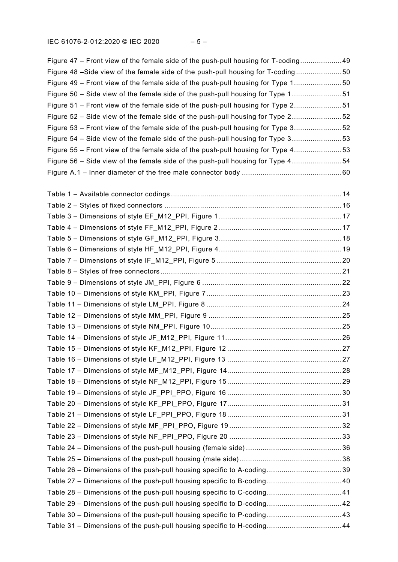| Figure 47 – Front view of the female side of the push-pull housing for T-coding49 |  |
|-----------------------------------------------------------------------------------|--|
| Figure 48 – Side view of the female side of the push-pull housing for T-coding50  |  |
| Figure 49 – Front view of the female side of the push-pull housing for Type 150   |  |
| Figure 50 – Side view of the female side of the push-pull housing for Type 151    |  |
| Figure 51 – Front view of the female side of the push-pull housing for Type 251   |  |
| Figure 52 – Side view of the female side of the push-pull housing for Type 252    |  |
| Figure 53 – Front view of the female side of the push-pull housing for Type 352   |  |
| Figure 54 – Side view of the female side of the push-pull housing for Type 353    |  |
| Figure 55 – Front view of the female side of the push-pull housing for Type 453   |  |
| Figure 56 – Side view of the female side of the push-pull housing for Type 454    |  |
|                                                                                   |  |
|                                                                                   |  |

| Table 26 - Dimensions of the push-pull housing specific to A-coding39  |  |
|------------------------------------------------------------------------|--|
| Table 27 - Dimensions of the push-pull housing specific to B-coding40  |  |
| Table 28 - Dimensions of the push-pull housing specific to C-coding41  |  |
| Table 29 - Dimensions of the push-pull housing specific to D-coding42  |  |
| Table 30 - Dimensions of the push-pull housing specific to P-coding43  |  |
| Table 31 - Dimensions of the push-pull housing specific to H-coding 44 |  |
|                                                                        |  |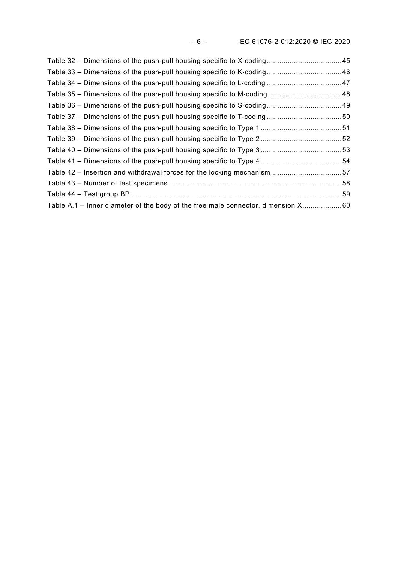| Table 32 – Dimensions of the push-pull housing specific to X-coding45            |  |
|----------------------------------------------------------------------------------|--|
| Table 33 – Dimensions of the push-pull housing specific to K-coding46            |  |
| Table 34 - Dimensions of the push-pull housing specific to L-coding 47           |  |
| Table 35 - Dimensions of the push-pull housing specific to M-coding 48           |  |
| Table 36 - Dimensions of the push-pull housing specific to S-coding 49           |  |
| Table 37 – Dimensions of the push-pull housing specific to T-coding50            |  |
|                                                                                  |  |
|                                                                                  |  |
|                                                                                  |  |
|                                                                                  |  |
| Table 42 – Insertion and withdrawal forces for the locking mechanism57           |  |
|                                                                                  |  |
|                                                                                  |  |
| Table A.1 – Inner diameter of the body of the free male connector, dimension X60 |  |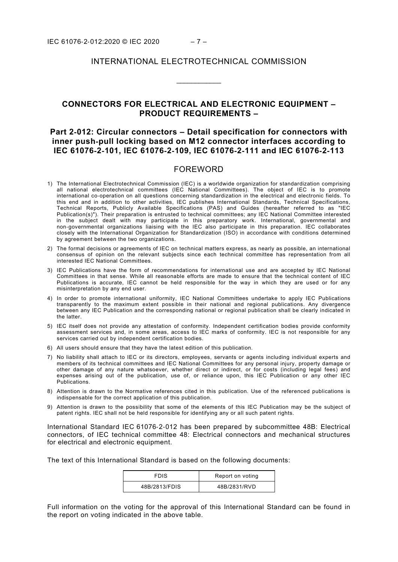#### INTERNATIONAL ELECTROTECHNICAL COMMISSION

\_\_\_\_\_\_\_\_\_\_\_\_

## **CONNECTORS FOR ELECTRICAL AND ELECTRONIC EQUIPMENT – PRODUCT REQUIREMENTS –**

## **Part 2**‑**012: Circular connectors – Detail specification for connectors with inner push**‑**pull locking based on M12 connector interfaces according to IEC 61076**‑**2**‑**101, IEC 61076**‑**2**‑**109, IEC 61076**‑**2**‑**111 and IEC 61076**‑**2**‑**113**

# FOREWORD

- <span id="page-6-0"></span>1) The International Electrotechnical Commission (IEC) is a worldwide organization for standardization comprising all national electrotechnical committees (IEC National Committees). The object of IEC is to promote international co-operation on all questions concerning standardization in the electrical and electronic fields. To this end and in addition to other activities, IEC publishes International Standards, Technical Specifications, Technical Reports, Publicly Available Specifications (PAS) and Guides (hereafter referred to as "IEC Publication(s)"). Their preparation is entrusted to technical committees; any IEC National Committee interested in the subject dealt with may participate in this preparatory work. International, governmental and non‑governmental organizations liaising with the IEC also participate in this preparation. IEC collaborates closely with the International Organization for Standardization (ISO) in accordance with conditions determined by agreement between the two organizations.
- 2) The formal decisions or agreements of IEC on technical matters express, as nearly as possible, an international consensus of opinion on the relevant subjects since each technical committee has representation from all interested IEC National Committees.
- 3) IEC Publications have the form of recommendations for international use and are accepted by IEC National Committees in that sense. While all reasonable efforts are made to ensure that the technical content of IEC Publications is accurate, IEC cannot be held responsible for the way in which they are used or for any misinterpretation by any end user.
- 4) In order to promote international uniformity, IEC National Committees undertake to apply IEC Publications transparently to the maximum extent possible in their national and regional publications. Any divergence between any IEC Publication and the corresponding national or regional publication shall be clearly indicated in the latter.
- 5) IEC itself does not provide any attestation of conformity. Independent certification bodies provide conformity assessment services and, in some areas, access to IEC marks of conformity. IEC is not responsible for any services carried out by independent certification bodies.
- 6) All users should ensure that they have the latest edition of this publication.
- 7) No liability shall attach to IEC or its directors, employees, servants or agents including individual experts and members of its technical committees and IEC National Committees for any personal injury, property damage or other damage of any nature whatsoever, whether direct or indirect, or for costs (including legal fees) and expenses arising out of the publication, use of, or reliance upon, this IEC Publication or any other IEC Publications.
- 8) Attention is drawn to the Normative references cited in this publication. Use of the referenced publications is indispensable for the correct application of this publication.
- 9) Attention is drawn to the possibility that some of the elements of this IEC Publication may be the subject of patent rights. IEC shall not be held responsible for identifying any or all such patent rights.

International Standard IEC 61076‑2‑012 has been prepared by subcommittee 48B: Electrical connectors, of IEC technical committee 48: Electrical connectors and mechanical structures for electrical and electronic equipment.

The text of this International Standard is based on the following documents:

| <b>FDIS</b>   | Report on voting |
|---------------|------------------|
| 48B/2813/FDIS | 48B/2831/RVD     |

Full information on the voting for the approval of this International Standard can be found in the report on voting indicated in the above table.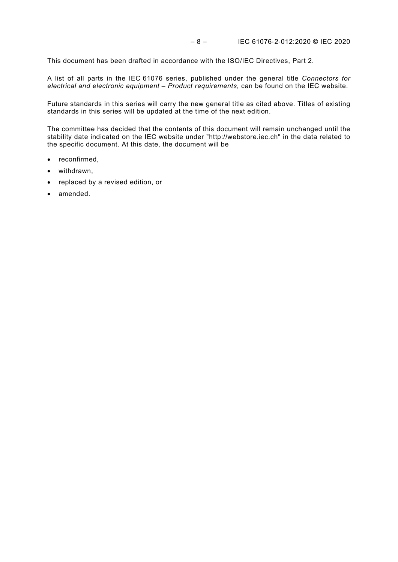This document has been drafted in accordance with the ISO/IEC Directives, Part 2.

A list of all parts in the IEC 61076 series, published under the general title *Connectors for electrical and electronic equipment – Product requirements*, can be found on the IEC website.

Future standards in this series will carry the new general title as cited above. Titles of existing standards in this series will be updated at the time of the next edition.

The committee has decided that the contents of this document will remain unchanged until the stability date indicated on the IEC website under "http://webstore.iec.ch" in the data related to the specific document. At this date, the document will be

- reconfirmed,
- withdrawn,
- replaced by a revised edition, or
- amended.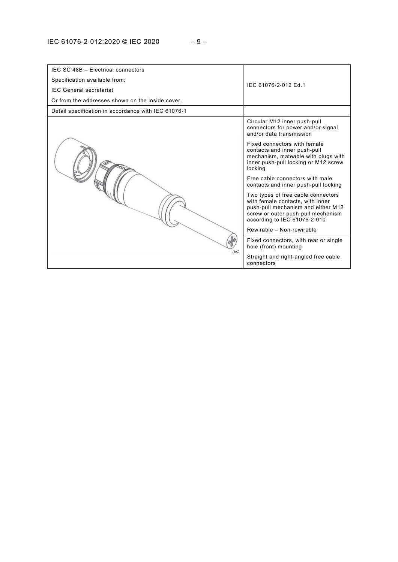# IEC 61076-2-012:2020 © IEC 2020 − 9 –

| IEC SC 48B - Electrical connectors                  |                                                                                                                                                                                    |  |
|-----------------------------------------------------|------------------------------------------------------------------------------------------------------------------------------------------------------------------------------------|--|
| Specification available from:                       | IFC 61076-2-012 Fd 1                                                                                                                                                               |  |
| <b>IEC General secretariat</b>                      |                                                                                                                                                                                    |  |
| Or from the addresses shown on the inside cover.    |                                                                                                                                                                                    |  |
| Detail specification in accordance with IEC 61076-1 |                                                                                                                                                                                    |  |
|                                                     | Circular M12 inner push-pull<br>connectors for power and/or signal<br>and/or data transmission                                                                                     |  |
|                                                     | Fixed connectors with female<br>contacts and inner push-pull<br>mechanism, mateable with plugs with<br>inner push-pull locking or M12 screw<br>locking                             |  |
|                                                     | Free cable connectors with male<br>contacts and inner push-pull locking                                                                                                            |  |
|                                                     | Two types of free cable connectors<br>with female contacts, with inner<br>push-pull mechanism and either M12<br>screw or outer push-pull mechanism<br>according to IEC 61076-2-010 |  |
|                                                     | Rewirable - Non-rewirable                                                                                                                                                          |  |
| <b>IEC</b>                                          | Fixed connectors, with rear or single<br>hole (front) mounting                                                                                                                     |  |
|                                                     | Straight and right-angled free cable<br>connectors                                                                                                                                 |  |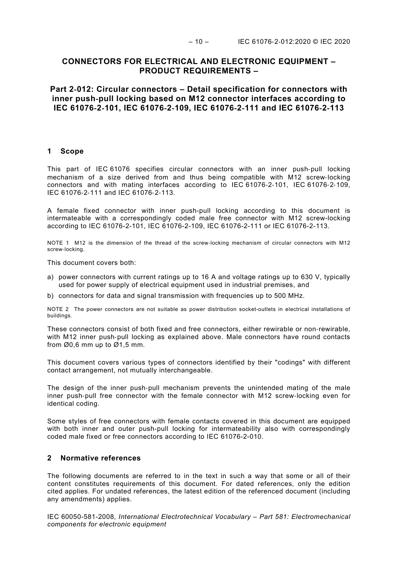## **CONNECTORS FOR ELECTRICAL AND ELECTRONIC EQUIPMENT – PRODUCT REQUIREMENTS –**

**Part 2**‑**012: Circular connectors – Detail specification for connectors with inner push**‑**pull locking based on M12 connector interfaces according to IEC 61076**‑**2**‑**101, IEC 61076**‑**2**‑**109, IEC 61076**‑**2**‑**111 and IEC 61076**‑**2**‑**113**

#### <span id="page-9-0"></span>**1 Scope**

This part of IEC 61076 specifies circular connectors with an inner push-pull locking mechanism of a size derived from and thus being compatible with M12 screw-locking connectors and with mating interfaces according to IEC 61076‑2‑101, IEC 61076‑2‑109, IEC 61076‑2‑111 and IEC 61076‑2‑113.

A female fixed connector with inner push-pull locking according to this document is intermateable with a correspondingly coded male free connector with M12 screw-locking according to IEC 61076-2-101, IEC 61076-2-109, IEC 61076-2-111 or IEC 61076-2-113.

NOTE 1 M12 is the dimension of the thread of the screw‑locking mechanism of circular connectors with M12 screw-locking.

This document covers both:

- a) power connectors with current ratings up to 16 A and voltage ratings up to 630 V, typically used for power supply of electrical equipment used in industrial premises, and
- b) connectors for data and signal transmission with frequencies up to 500 MHz.

NOTE 2 The power connectors are not suitable as power distribution socket-outlets in electrical installations of buildings.

These connectors consist of both fixed and free connectors, either rewirable or non-rewirable. with M12 inner push-pull locking as explained above. Male connectors have round contacts from  $\varnothing$ 0,6 mm up to  $\varnothing$ 1,5 mm.

This document covers various types of connectors identified by their "codings" with different contact arrangement, not mutually interchangeable.

The design of the inner push-pull mechanism prevents the unintended mating of the male inner push-pull free connector with the female connector with M12 screw-locking even for identical coding.

Some styles of free connectors with female contacts covered in this document are equipped with both inner and outer push-pull locking for intermateability also with correspondingly coded male fixed or free connectors according to IEC 61076-2-010.

#### <span id="page-9-1"></span>**2 Normative references**

The following documents are referred to in the text in such a way that some or all of their content constitutes requirements of this document. For dated references, only the edition cited applies. For undated references, the latest edition of the referenced document (including any amendments) applies.

IEC 60050-581-2008, *International Electrotechnical Vocabulary – Part 581: Electromechanical components for electronic equipment*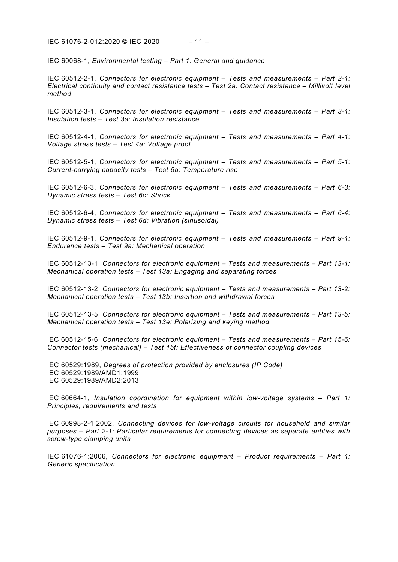IEC 61076‑2‑012:2020 © IEC 2020 – 11 –

IEC 60068-1, *Environmental testing – Part 1: General and guidance*

IEC 60512-2-1, *Connectors for electronic equipment – Tests and measurements – Part 2-1: Electrical continuity and contact resistance tests – Test 2a: Contact resistance – Millivolt level method*

IEC 60512-3-1, *Connectors for electronic equipment – Tests and measurements – Part 3-1: Insulation tests – Test 3a: Insulation resistance*

IEC 60512-4-1, *Connectors for electronic equipment – Tests and measurements – Part 4-1: Voltage stress tests – Test 4a: Voltage proof*

IEC 60512-5-1, *Connectors for electronic equipment – Tests and measurements – Part 5-1: Current-carrying capacity tests – Test 5a: Temperature rise*

IEC 60512-6-3, *Connectors for electronic equipment – Tests and measurements – Part 6-3: Dynamic stress tests – Test 6c: Shock*

IEC 60512-6-4, *Connectors for electronic equipment – Tests and measurements – Part 6-4: Dynamic stress tests – Test 6d: Vibration (sinusoidal)*

IEC 60512-9-1, *Connectors for electronic equipment – Tests and measurements – Part 9-1: Endurance tests – Test 9a: Mechanical operation*

IEC 60512-13-1, *Connectors for electronic equipment – Tests and measurements – Part 13-1: Mechanical operation tests – Test 13a: Engaging and separating forces*

IEC 60512-13-2, *Connectors for electronic equipment – Tests and measurements – Part 13-2: Mechanical operation tests – Test 13b: Insertion and withdrawal forces*

IEC 60512-13-5, *Connectors for electronic equipment – Tests and measurements – Part 13-5: Mechanical operation tests – Test 13e: Polarizing and keying method*

IEC 60512-15-6, *Connectors for electronic equipment – Tests and measurements – Part 15-6: Connector tests (mechanical) – Test 15f: Effectiveness of connector coupling devices*

IEC 60529:1989, *Degrees of protection provided by enclosures (IP Code)* IEC 60529:1989/AMD1:1999 IEC 60529:1989/AMD2:2013

IEC 60664-1, *Insulation coordination for equipment within low-voltage systems – Part 1: Principles, requirements and tests*

IEC 60998-2-1:2002, *Connecting devices for low-voltage circuits for household and similar purposes – Part 2-1: Particular requirements for connecting devices as separate entities with screw-type clamping units*

IEC 61076-1:2006, *Connectors for electronic equipment – Product requirements – Part 1: Generic specification*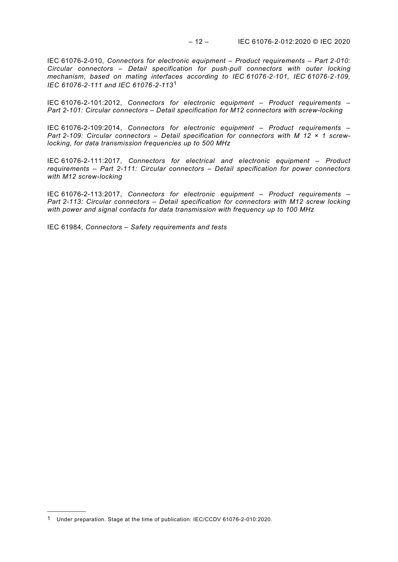IEC 61076-2-010, *Connectors for electronic equipment – Product requirements – Part 2*‑*010: Circular connectors – Detail specification for push*‑*pull connectors with outer locking mechanism, based on mating interfaces according to IEC 61076*‑*2*‑*101, IEC 61076*‑*2*‑*109, IEC 61076*‑*2*‑*111 and IEC 61076*‑*2*‑*113*[1](#page-11-4)

IEC 61076-2-101:2012, *Connectors for electronic equipment – Product requirements – Part 2-101: Circular connectors – Detail specification for M12 connectors with screw-locking*

IEC 61076-2-109:2014, *Connectors for electronic equipment – Product requirements – Part 2-109: Circular connectors – Detail specification for connectors with M 12 × 1 screwlocking, for data transmission frequencies up to 500 MHz*

IEC 61076-2-111:2017, *Connectors for electrical and electronic equipment – Product requirements – Part 2-111: Circular connectors – Detail specification for power connectors with M12 screw-locking*

IEC 61076-2-113:2017, *Connectors for electronic equipment – Product requirements – Part 2-113: Circular connectors – Detail specification for connectors with M12 screw locking with power and signal contacts for data transmission with frequency up to 100 MHz*

<span id="page-11-0"></span>IEC 61984, *Connectors – Safety requirements and tests*

<span id="page-11-3"></span><span id="page-11-2"></span><span id="page-11-1"></span> $\overline{\phantom{a}}$ 

<span id="page-11-4"></span><sup>1</sup> Under preparation. Stage at the time of publication: IEC/CCDV 61076-2-010:2020.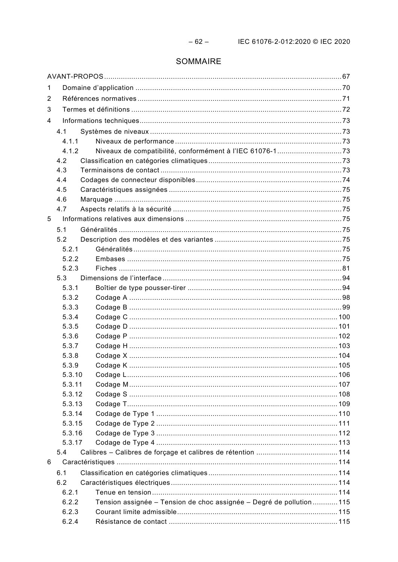# SOMMAIRE

| 1 |        |                                                                       |  |
|---|--------|-----------------------------------------------------------------------|--|
| 2 |        |                                                                       |  |
| 3 |        |                                                                       |  |
| 4 |        |                                                                       |  |
|   | 4.1    |                                                                       |  |
|   | 4.1.1  |                                                                       |  |
|   | 4.1.2  |                                                                       |  |
|   | 4.2    |                                                                       |  |
|   | 4.3    |                                                                       |  |
|   | 4.4    |                                                                       |  |
|   | 4.5    |                                                                       |  |
|   | 4.6    |                                                                       |  |
|   | 4.7    |                                                                       |  |
| 5 |        |                                                                       |  |
|   | 5.1    |                                                                       |  |
|   | 5.2    |                                                                       |  |
|   | 5.2.1  |                                                                       |  |
|   | 5.2.2  |                                                                       |  |
|   | 5.2.3  |                                                                       |  |
|   | 5.3    |                                                                       |  |
|   | 5.3.1  |                                                                       |  |
|   | 5.3.2  |                                                                       |  |
|   | 5.3.3  |                                                                       |  |
|   | 5.3.4  |                                                                       |  |
|   | 5.3.5  |                                                                       |  |
|   | 5.3.6  |                                                                       |  |
|   | 5.3.7  |                                                                       |  |
|   | 5.3.8  |                                                                       |  |
|   | 5.3.9  |                                                                       |  |
|   | 5.3.10 |                                                                       |  |
|   | 5.3.11 |                                                                       |  |
|   | 5.3.12 |                                                                       |  |
|   | 5.3.13 |                                                                       |  |
|   | 5.3.14 |                                                                       |  |
|   | 5.3.15 |                                                                       |  |
|   | 5.3.16 |                                                                       |  |
|   | 5.3.17 |                                                                       |  |
|   | 5.4    |                                                                       |  |
| 6 |        |                                                                       |  |
|   | 6.1    |                                                                       |  |
|   | 6.2    |                                                                       |  |
|   | 6.2.1  |                                                                       |  |
|   | 6.2.2  | Tension assignée - Tension de choc assignée - Degré de pollution  115 |  |
|   | 6.2.3  |                                                                       |  |
|   | 6.2.4  |                                                                       |  |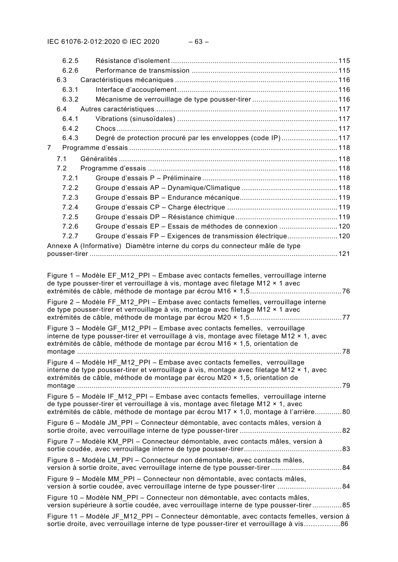| 6.2.5 |                                                                                                                                                                        |  |
|-------|------------------------------------------------------------------------------------------------------------------------------------------------------------------------|--|
| 6.2.6 |                                                                                                                                                                        |  |
| 6.3   |                                                                                                                                                                        |  |
| 6.3.1 |                                                                                                                                                                        |  |
| 6.3.2 |                                                                                                                                                                        |  |
| 6.4   |                                                                                                                                                                        |  |
| 6.4.1 |                                                                                                                                                                        |  |
| 6.4.2 |                                                                                                                                                                        |  |
| 6.4.3 | Degré de protection procuré par les enveloppes (code IP)117                                                                                                            |  |
| 7     |                                                                                                                                                                        |  |
| 7.1   |                                                                                                                                                                        |  |
| 7.2   |                                                                                                                                                                        |  |
| 7.2.1 |                                                                                                                                                                        |  |
| 7.2.2 |                                                                                                                                                                        |  |
| 7.2.3 |                                                                                                                                                                        |  |
| 7.2.4 |                                                                                                                                                                        |  |
| 7.2.5 |                                                                                                                                                                        |  |
| 7.2.6 | Groupe d'essais EP - Essais de méthodes de connexion  120                                                                                                              |  |
| 7.2.7 | Groupe d'essais FP - Exigences de transmission électrique 120                                                                                                          |  |
|       | Annexe A (Informative) Diamètre interne du corps du connecteur mâle de type                                                                                            |  |
|       |                                                                                                                                                                        |  |
|       |                                                                                                                                                                        |  |
|       | Figure 1 – Modèle EF M12 PPI – Embase avec contacts femelles, verrouillage interne                                                                                     |  |
|       | de type pousser-tirer et verrouillage à vis, montage avec filetage M12 × 1 avec                                                                                        |  |
|       |                                                                                                                                                                        |  |
|       | Figure 2 – Modèle FF M12 PPI – Embase avec contacts femelles, verrouillage interne                                                                                     |  |
|       | de type pousser-tirer et verrouillage à vis, montage avec filetage M12 × 1 avec                                                                                        |  |
|       |                                                                                                                                                                        |  |
|       | Figure 3 – Modèle GF M12 PPI – Embase avec contacts femelles, verrouillage<br>interne de type pousser-tirer et verrouillage à vis, montage avec filetage M12 × 1, avec |  |
|       | extrémités de câble, méthode de montage par écrou M16 × 1,5, orientation de                                                                                            |  |
|       |                                                                                                                                                                        |  |
|       | Figure 4 - Modèle HF_M12_PPI - Embase avec contacts femelles, verrouillage                                                                                             |  |
|       | interne de type pousser-tirer et verrouillage à vis, montage avec filetage M12 × 1, avec                                                                               |  |
|       | extrémités de câble, méthode de montage par écrou M20 × 1,5, orientation de                                                                                            |  |
|       |                                                                                                                                                                        |  |
|       | Figure 5 - Modèle IF M12 PPI - Embase avec contacts femelles, verrouillage interne<br>de type pousser-tirer et verrouillage à vis, montage avec filetage M12 × 1, avec |  |
|       | extrémités de câble, méthode de montage par écrou M17 × 1,0, montage à l'arrière80                                                                                     |  |
|       | Figure 6 – Modèle JM_PPI – Connecteur démontable, avec contacts mâles, version à                                                                                       |  |
|       |                                                                                                                                                                        |  |
|       | Figure 7 – Modèle KM_PPI – Connecteur démontable, avec contacts mâles, version à                                                                                       |  |
|       |                                                                                                                                                                        |  |
|       | Figure 8 - Modèle LM_PPI - Connecteur non démontable, avec contacts mâles,                                                                                             |  |
|       |                                                                                                                                                                        |  |
|       | Figure 9 – Modèle MM_PPI – Connecteur non démontable, avec contacts mâles,                                                                                             |  |
|       | version à sortie coudée, avec verrouillage interne de type pousser-tirer 84                                                                                            |  |
|       | Figure 10 – Modèle NM PPI – Connecteur non démontable, avec contacts mâles,                                                                                            |  |
|       | version supérieure à sortie coudée, avec verrouillage interne de type pousser-tirer 85                                                                                 |  |
|       | Figure 11 – Modèle JF_M12_PPI – Connecteur démontable, avec contacts femelles, version à                                                                               |  |
|       | sortie droite, avec verrouillage interne de type pousser-tirer et verrouillage à vis86                                                                                 |  |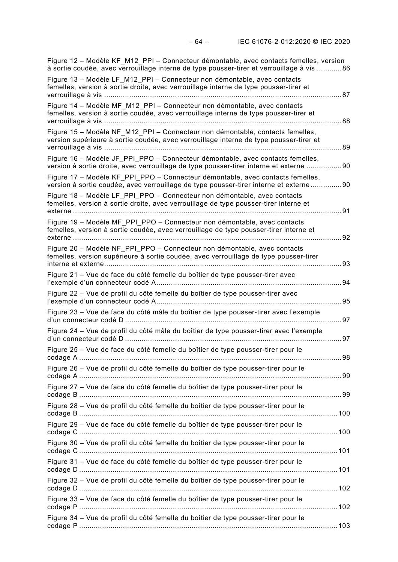| Figure 12 - Modèle KF_M12_PPI - Connecteur démontable, avec contacts femelles, version<br>à sortie coudée, avec verrouillage interne de type pousser-tirer et verrouillage à vis 86 |     |
|-------------------------------------------------------------------------------------------------------------------------------------------------------------------------------------|-----|
| Figure 13 – Modèle LF M12 PPI – Connecteur non démontable, avec contacts<br>femelles, version à sortie droite, avec verrouillage interne de type pousser-tirer et                   | 87  |
| Figure 14 - Modèle MF M12 PPI - Connecteur non démontable, avec contacts<br>femelles, version à sortie coudée, avec verrouillage interne de type pousser-tirer et                   | 88  |
| Figure 15 - Modèle NF_M12_PPI - Connecteur non démontable, contacts femelles,<br>version supérieure à sortie coudée, avec verrouillage interne de type pousser-tirer et             | 89  |
| Figure 16 - Modèle JF_PPI_PPO - Connecteur démontable, avec contacts femelles,<br>version à sortie droite, avec verrouillage de type pousser-tirer interne et externe               | .90 |
| Figure 17 - Modèle KF_PPI_PPO - Connecteur démontable, avec contacts femelles,<br>version à sortie coudée, avec verrouillage de type pousser-tirer interne et externe90             |     |
| Figure 18 – Modèle LF PPI PPO – Connecteur non démontable, avec contacts<br>femelles, version à sortie droite, avec verrouillage de type pousser-tirer interne et                   | 91  |
| Figure 19 - Modèle MF_PPI_PPO - Connecteur non démontable, avec contacts<br>femelles, version à sortie coudée, avec verrouillage de type pousser-tirer interne et<br>$ext{erne$     | 92  |
| Figure 20 - Modèle NF PPI PPO - Connecteur non démontable, avec contacts<br>femelles, version supérieure à sortie coudée, avec verrouillage de type pousser-tirer                   | 93  |
| Figure 21 – Vue de face du côté femelle du boîtier de type pousser-tirer avec                                                                                                       | 94  |
| Figure 22 - Vue de profil du côté femelle du boîtier de type pousser-tirer avec<br>l'exemple d'un connecteur codé A                                                                 | 95  |
| Figure 23 - Vue de face du côté mâle du boîtier de type pousser-tirer avec l'exemple                                                                                                | 97  |
| Figure 24 - Vue de profil du côté mâle du boîtier de type pousser-tirer avec l'exemple                                                                                              | 97  |
| Figure 25 - Vue de face du côté femelle du boîtier de type pousser-tirer pour le                                                                                                    |     |
| Figure 26 - Vue de profil du côté femelle du boîtier de type pousser-tirer pour le                                                                                                  |     |
| Figure 27 - Vue de face du côté femelle du boîtier de type pousser-tirer pour le                                                                                                    |     |
| Figure 28 - Vue de profil du côté femelle du boîtier de type pousser-tirer pour le                                                                                                  |     |
| Figure 29 - Vue de face du côté femelle du boîtier de type pousser-tirer pour le                                                                                                    |     |
| Figure 30 - Vue de profil du côté femelle du boîtier de type pousser-tirer pour le                                                                                                  |     |
| Figure 31 - Vue de face du côté femelle du boîtier de type pousser-tirer pour le                                                                                                    |     |
| Figure 32 – Vue de profil du côté femelle du boîtier de type pousser-tirer pour le                                                                                                  |     |
| Figure 33 - Vue de face du côté femelle du boîtier de type pousser-tirer pour le                                                                                                    |     |
| Figure 34 - Vue de profil du côté femelle du boîtier de type pousser-tirer pour le                                                                                                  |     |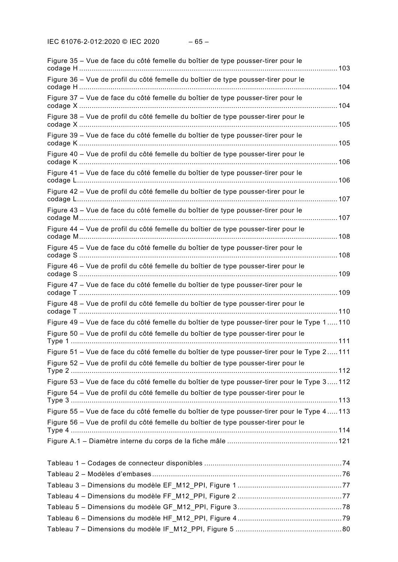| Figure 35 - Vue de face du côté femelle du boîtier de type pousser-tirer pour le            | 103 |
|---------------------------------------------------------------------------------------------|-----|
| Figure 36 - Vue de profil du côté femelle du boîtier de type pousser-tirer pour le          | 104 |
| Figure 37 - Vue de face du côté femelle du boîtier de type pousser-tirer pour le            | 104 |
| Figure 38 - Vue de profil du côté femelle du boîtier de type pousser-tirer pour le          | 105 |
| Figure 39 - Vue de face du côté femelle du boîtier de type pousser-tirer pour le            | 105 |
| Figure 40 - Vue de profil du côté femelle du boîtier de type pousser-tirer pour le          | 106 |
| Figure 41 - Vue de face du côté femelle du boîtier de type pousser-tirer pour le            | 106 |
| Figure 42 - Vue de profil du côté femelle du boîtier de type pousser-tirer pour le          |     |
| Figure 43 - Vue de face du côté femelle du boîtier de type pousser-tirer pour le            | 107 |
| Figure 44 - Vue de profil du côté femelle du boîtier de type pousser-tirer pour le          | 108 |
| Figure 45 - Vue de face du côté femelle du boîtier de type pousser-tirer pour le            |     |
| Figure 46 - Vue de profil du côté femelle du boîtier de type pousser-tirer pour le          | 109 |
| Figure 47 - Vue de face du côté femelle du boîtier de type pousser-tirer pour le            |     |
| Figure 48 - Vue de profil du côté femelle du boîtier de type pousser-tirer pour le          |     |
| Figure 49 - Vue de face du côté femelle du boîtier de type pousser-tirer pour le Type 1110  |     |
| Figure 50 - Vue de profil du côté femelle du boîtier de type pousser-tirer pour le          |     |
| Figure 51 - Vue de face du côté femelle du boîtier de type pousser-tirer pour le Type 2111  |     |
| Figure 52 – Vue de profil du côté femelle du boîtier de type pousser-tirer pour le          |     |
| Figure 53 - Vue de face du côté femelle du boîtier de type pousser-tirer pour le Type 3 112 |     |
| Figure 54 - Vue de profil du côté femelle du boîtier de type pousser-tirer pour le          |     |
| Figure 55 - Vue de face du côté femelle du boîtier de type pousser-tirer pour le Type 4113  |     |
| Figure 56 – Vue de profil du côté femelle du boîtier de type pousser-tirer pour le          |     |
|                                                                                             |     |
|                                                                                             |     |
|                                                                                             |     |
|                                                                                             |     |
|                                                                                             |     |
|                                                                                             |     |
|                                                                                             |     |
|                                                                                             |     |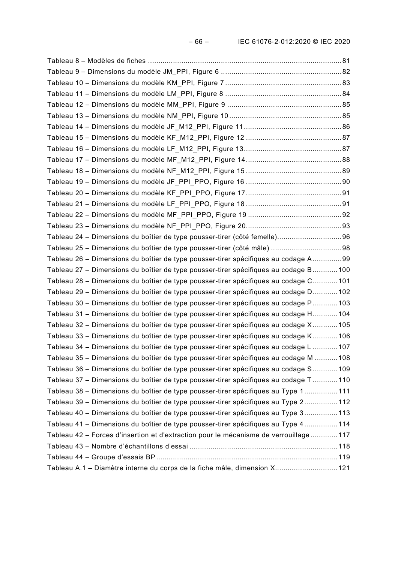| Tableau 24 - Dimensions du boîtier de type pousser-tirer (côté femelle)96             |  |
|---------------------------------------------------------------------------------------|--|
| Tableau 25 - Dimensions du boîtier de type pousser-tirer (côté mâle) 98               |  |
| Tableau 26 – Dimensions du boîtier de type pousser-tirer spécifiques au codage A99    |  |
| Tableau 27 – Dimensions du boîtier de type pousser-tirer spécifiques au codage B100   |  |
| Tableau 28 – Dimensions du boîtier de type pousser-tirer spécifiques au codage C 101  |  |
| Tableau 29 – Dimensions du boîtier de type pousser-tirer spécifiques au codage D 102  |  |
| Tableau 30 – Dimensions du boîtier de type pousser-tirer spécifiques au codage P 103  |  |
| Tableau 31 – Dimensions du boîtier de type pousser-tirer spécifiques au codage H 104  |  |
| Tableau 32 – Dimensions du boîtier de type pousser-tirer spécifiques au codage X 105  |  |
| Tableau 33 – Dimensions du boîtier de type pousser-tirer spécifiques au codage K 106  |  |
| Tableau 34 – Dimensions du boîtier de type pousser-tirer spécifiques au codage L  107 |  |
| Tableau 35 - Dimensions du boîtier de type pousser-tirer spécifiques au codage M  108 |  |
| Tableau 36 - Dimensions du boîtier de type pousser-tirer spécifiques au codage S 109  |  |
| Tableau 37 – Dimensions du boîtier de type pousser-tirer spécifiques au codage T110   |  |
| Tableau 38 – Dimensions du boîtier de type pousser-tirer spécifiques au Type 1111     |  |
| Tableau 39 – Dimensions du boîtier de type pousser-tirer spécifiques au Type 2112     |  |
| Tableau 40 – Dimensions du boîtier de type pousser-tirer spécifiques au Type 3113     |  |
| Tableau 41 – Dimensions du boîtier de type pousser-tirer spécifiques au Type 4114     |  |
| Tableau 42 - Forces d'insertion et d'extraction pour le mécanisme de verrouillage 117 |  |
|                                                                                       |  |
|                                                                                       |  |
| Tableau A.1 - Diamètre interne du corps de la fiche mâle, dimension X 121             |  |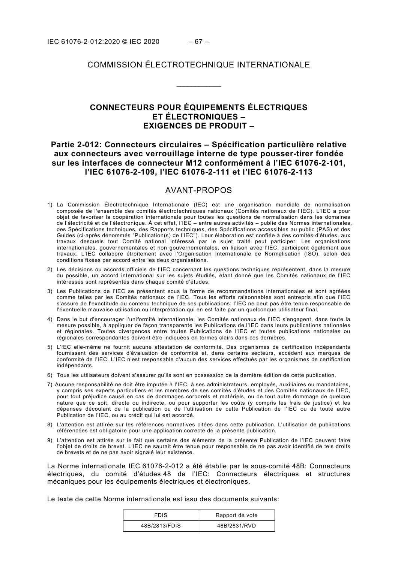## COMMISSION ÉLECTROTECHNIQUE INTERNATIONALE

\_\_\_\_\_\_\_\_\_\_\_\_

# **CONNECTEURS POUR ÉQUIPEMENTS ÉLECTRIQUES ET ÉLECTRONIQUES – EXIGENCES DE PRODUIT –**

## **Partie 2-012: Connecteurs circulaires – Spécification particulière relative aux connecteurs avec verrouillage interne de type pousser-tirer fondée sur les interfaces de connecteur M12 conformément à l'IEC 61076-2-101, l'IEC 61076-2-109, l'IEC 61076-2-111 et l'IEC 61076-2-113**

### AVANT-PROPOS

- <span id="page-17-0"></span>1) La Commission Électrotechnique Internationale (IEC) est une organisation mondiale de normalisation composée de l'ensemble des comités électrotechniques nationaux (Comités nationaux de l'IEC). L'IEC a pour objet de favoriser la coopération internationale pour toutes les questions de normalisation dans les domaines de l'électricité et de l'électronique. À cet effet, l'IEC – entre autres activités – publie des Normes internationales, des Spécifications techniques, des Rapports techniques, des Spécifications accessibles au public (PAS) et des Guides (ci-après dénommés "Publication(s) de l'IEC"). Leur élaboration est confiée à des comités d'études, aux travaux desquels tout Comité national intéressé par le sujet traité peut participer. Les organisations internationales, gouvernementales et non gouvernementales, en liaison avec l'IEC, participent également aux travaux. L'IEC collabore étroitement avec l'Organisation Internationale de Normalisation (ISO), selon des conditions fixées par accord entre les deux organisations.
- 2) Les décisions ou accords officiels de l'IEC concernant les questions techniques représentent, dans la mesure du possible, un accord international sur les sujets étudiés, étant donné que les Comités nationaux de l'IEC intéressés sont représentés dans chaque comité d'études.
- 3) Les Publications de l'IEC se présentent sous la forme de recommandations internationales et sont agréées comme telles par les Comités nationaux de l'IEC. Tous les efforts raisonnables sont entrepris afin que l'IEC s'assure de l'exactitude du contenu technique de ses publications; l'IEC ne peut pas être tenue responsable de l'éventuelle mauvaise utilisation ou interprétation qui en est faite par un quelconque utilisateur final.
- 4) Dans le but d'encourager l'uniformité internationale, les Comités nationaux de l'IEC s'engagent, dans toute la mesure possible, à appliquer de façon transparente les Publications de l'IEC dans leurs publications nationales et régionales. Toutes divergences entre toutes Publications de l'IEC et toutes publications nationales ou régionales correspondantes doivent être indiquées en termes clairs dans ces dernières.
- 5) L'IEC elle-même ne fournit aucune attestation de conformité. Des organismes de certification indépendants fournissent des services d'évaluation de conformité et, dans certains secteurs, accèdent aux marques de conformité de l'IEC. L'IEC n'est responsable d'aucun des services effectués par les organismes de certification indépendants.
- 6) Tous les utilisateurs doivent s'assurer qu'ils sont en possession de la dernière édition de cette publication.
- 7) Aucune responsabilité ne doit être imputée à l'IEC, à ses administrateurs, employés, auxiliaires ou mandataires, y compris ses experts particuliers et les membres de ses comités d'études et des Comités nationaux de l'IEC, pour tout préjudice causé en cas de dommages corporels et matériels, ou de tout autre dommage de quelque nature que ce soit, directe ou indirecte, ou pour supporter les coûts (y compris les frais de justice) et les dépenses découlant de la publication ou de l'utilisation de cette Publication de l'IEC ou de toute autre Publication de l'IEC, ou au crédit qui lui est accordé.
- 8) L'attention est attirée sur les références normatives citées dans cette publication. L'utilisation de publications référencées est obligatoire pour une application correcte de la présente publication.
- 9) L'attention est attirée sur le fait que certains des éléments de la présente Publication de l'IEC peuvent faire l'objet de droits de brevet. L'IEC ne saurait être tenue pour responsable de ne pas avoir identifié de tels droits de brevets et de ne pas avoir signalé leur existence.

La Norme internationale IEC 61076-2-012 a été établie par le sous-comité 48B: Connecteurs électriques, du comité d'études 48 de l'IEC: Connecteurs électriques et structures mécaniques pour les équipements électriques et électroniques.

Le texte de cette Norme internationale est issu des documents suivants:

| <b>FDIS</b>   | Rapport de vote |
|---------------|-----------------|
| 48B/2813/FDIS | 48B/2831/RVD    |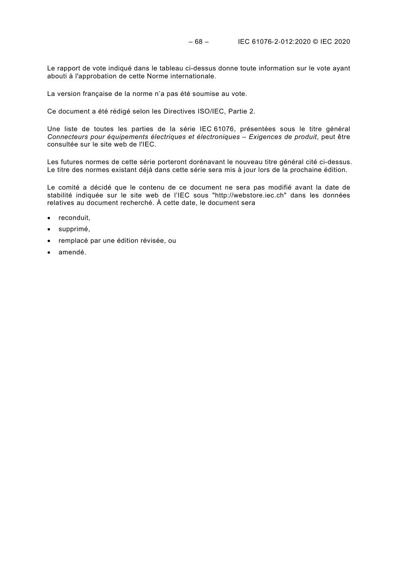Le rapport de vote indiqué dans le tableau ci-dessus donne toute information sur le vote ayant abouti à l'approbation de cette Norme internationale.

La version française de la norme n'a pas été soumise au vote.

Ce document a été rédigé selon les Directives ISO/IEC, Partie 2.

Une liste de toutes les parties de la série IEC 61076, présentées sous le titre général *Connecteurs pour équipements électriques et électroniques – Exigences de produit*, peut être consultée sur le site web de l'IEC.

Les futures normes de cette série porteront dorénavant le nouveau titre général cité ci-dessus. Le titre des normes existant déjà dans cette série sera mis à jour lors de la prochaine édition.

Le comité a décidé que le contenu de ce document ne sera pas modifié avant la date de stabilité indiquée sur le site web de l'IEC sous "http://webstore.iec.ch" dans les données relatives au document recherché. À cette date, le document sera

- reconduit,
- supprimé,
- remplacé par une édition révisée, ou
- amendé.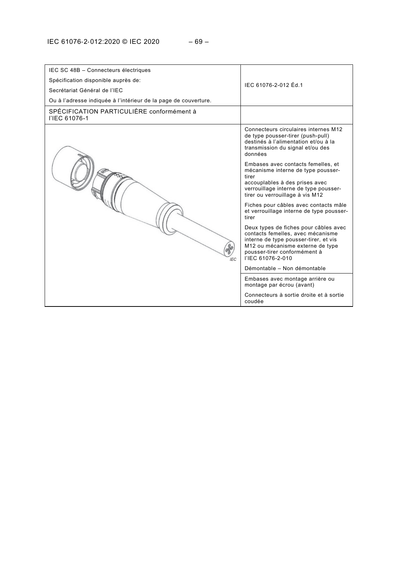# IEC 61076‑2‑012:2020 © IEC 2020 – 69 –

| IEC SC 48B - Connecteurs électriques                            |                                                                                                                                                                                                              |  |
|-----------------------------------------------------------------|--------------------------------------------------------------------------------------------------------------------------------------------------------------------------------------------------------------|--|
| Spécification disponible auprès de:                             | IFC 61076-2-012 Fd 1                                                                                                                                                                                         |  |
| Secrétariat Général de l'IEC                                    |                                                                                                                                                                                                              |  |
| Ou à l'adresse indiquée à l'intérieur de la page de couverture. |                                                                                                                                                                                                              |  |
| SPÉCIFICATION PARTICULIÈRE conformément à<br>l'IEC 61076-1      |                                                                                                                                                                                                              |  |
| IFC.                                                            | Connecteurs circulaires internes M12<br>de type pousser-tirer (push-pull)<br>destinés à l'alimentation et/ou à la<br>transmission du signal et/ou des<br>données                                             |  |
|                                                                 | Embases avec contacts femelles, et<br>mécanisme interne de type pousser-<br>tirer<br>accouplables à des prises avec<br>verrouillage interne de type pousser-<br>tirer ou verrouillage à vis M12              |  |
|                                                                 | Fiches pour câbles avec contacts mâle<br>et verrouillage interne de type pousser-<br>tirer                                                                                                                   |  |
|                                                                 | Deux types de fiches pour câbles avec<br>contacts femelles, avec mécanisme<br>interne de type pousser-tirer, et vis<br>M12 ou mécanisme externe de type<br>pousser-tirer conformément à<br>l'IEC 61076-2-010 |  |
|                                                                 | Démontable - Non démontable                                                                                                                                                                                  |  |
|                                                                 | Embases avec montage arrière ou<br>montage par écrou (avant)                                                                                                                                                 |  |
|                                                                 | Connecteurs à sortie droite et à sortie<br>coudée                                                                                                                                                            |  |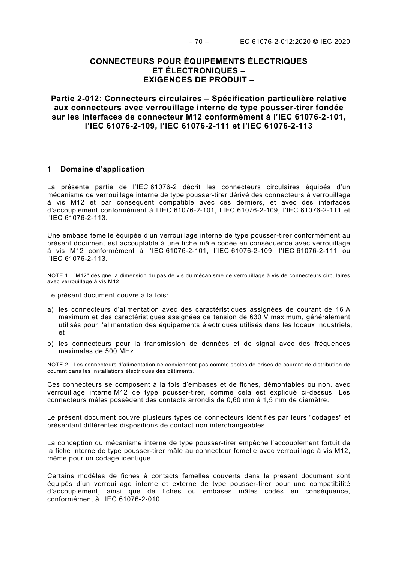# **CONNECTEURS POUR ÉQUIPEMENTS ÉLECTRIQUES ET ÉLECTRONIQUES – EXIGENCES DE PRODUIT –**

**Partie 2-012: Connecteurs circulaires – Spécification particulière relative aux connecteurs avec verrouillage interne de type pousser-tirer fondée sur les interfaces de connecteur M12 conformément à l'IEC 61076-2-101, l'IEC 61076-2-109, l'IEC 61076-2-111 et l'IEC 61076-2-113**

#### <span id="page-20-0"></span>**1 Domaine d'application**

La présente partie de l'IEC 61076-2 décrit les connecteurs circulaires équipés d'un mécanisme de verrouillage interne de type pousser-tirer dérivé des connecteurs à verrouillage à vis M12 et par conséquent compatible avec ces derniers, et avec des interfaces d'accouplement conformément à l'IEC 61076-2-101, l'IEC 61076-2-109, l'IEC 61076-2-111 et l'IEC 61076-2-113.

Une embase femelle équipée d'un verrouillage interne de type pousser-tirer conformément au présent document est accouplable à une fiche mâle codée en conséquence avec verrouillage à vis M12 conformément à l'IEC 61076-2-101, l'IEC 61076-2-109, l'IEC 61076-2-111 ou l'IEC 61076-2-113.

NOTE 1 "M12" désigne la dimension du pas de vis du mécanisme de verrouillage à vis de connecteurs circulaires avec verrouillage à vis M12.

Le présent document couvre à la fois:

- a) les connecteurs d'alimentation avec des caractéristiques assignées de courant de 16 A maximum et des caractéristiques assignées de tension de 630 V maximum, généralement utilisés pour l'alimentation des équipements électriques utilisés dans les locaux industriels, et
- b) les connecteurs pour la transmission de données et de signal avec des fréquences maximales de 500 MHz.

NOTE 2 Les connecteurs d'alimentation ne conviennent pas comme socles de prises de courant de distribution de courant dans les installations électriques des bâtiments.

Ces connecteurs se composent à la fois d'embases et de fiches, démontables ou non, avec verrouillage interne M12 de type pousser-tirer, comme cela est expliqué ci-dessus. Les connecteurs mâles possèdent des contacts arrondis de 0,60 mm à 1,5 mm de diamètre.

Le présent document couvre plusieurs types de connecteurs identifiés par leurs "codages" et présentant différentes dispositions de contact non interchangeables.

La conception du mécanisme interne de type pousser-tirer empêche l'accouplement fortuit de la fiche interne de type pousser-tirer mâle au connecteur femelle avec verrouillage à vis M12, même pour un codage identique.

Certains modèles de fiches à contacts femelles couverts dans le présent document sont équipés d'un verrouillage interne et externe de type pousser-tirer pour une compatibilité d'accouplement, ainsi que de fiches ou embases mâles codés en conséquence, conformément à l'IEC 61076-2-010.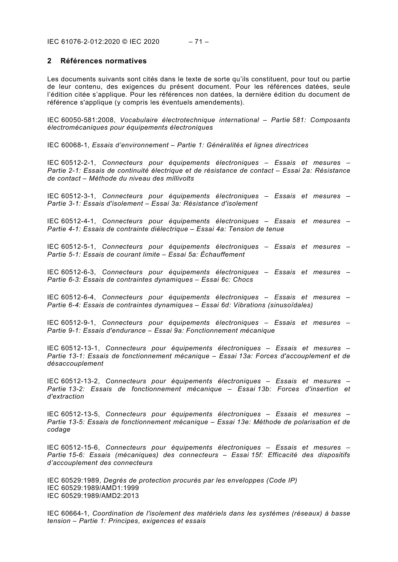IEC 61076‑2‑012:2020 © IEC 2020 – 71 –

#### <span id="page-21-0"></span>**2 Références normatives**

Les documents suivants sont cités dans le texte de sorte qu'ils constituent, pour tout ou partie de leur contenu, des exigences du présent document. Pour les références datées, seule l'édition citée s'applique. Pour les références non datées, la dernière édition du document de référence s'applique (y compris les éventuels amendements).

IEC 60050-581:2008, *Vocabulaire électrotechnique international – Partie 581: Composants électromécaniques pour équipements électroniques*

IEC 60068-1, *Essais d'environnement – Partie 1: Généralités et lignes directrices*

IEC 60512-2-1, *Connecteurs pour équipements électroniques – Essais et mesures – Partie 2-1: Essais de continuité électrique et de résistance de contact – Essai 2a: Résistance de contact – Méthode du niveau des millivolts*

IEC 60512-3-1, *Connecteurs pour équipements électroniques – Essais et mesures – Partie 3-1: Essais d'isolement – Essai 3a: Résistance d'isolement*

IEC 60512-4-1, *Connecteurs pour équipements électroniques – Essais et mesures – Partie 4-1: Essais de contrainte diélectrique – Essai 4a: Tension de tenue*

IEC 60512-5-1, *Connecteurs pour équipements électroniques – Essais et mesures – Partie 5-1: Essais de courant limite – Essai 5a: Échauffement*

IEC 60512-6-3, *Connecteurs pour équipements électroniques – Essais et mesures – Partie 6-3: Essais de contraintes dynamiques – Essai 6c: Chocs*

IEC 60512-6-4, *Connecteurs pour équipements électroniques – Essais et mesures – Partie 6-4: Essais de contraintes dynamiques – Essai 6d: Vibrations (sinusoïdales)*

IEC 60512-9-1, *Connecteurs pour équipements électroniques – Essais et mesures – Partie 9-1: Essais d'endurance – Essai 9a: Fonctionnement mécanique*

IEC 60512-13-1, *Connecteurs pour équipements électroniques – Essais et mesures – Partie 13-1: Essais de fonctionnement mécanique – Essai 13a: Forces d'accouplement et de désaccouplement*

IEC 60512-13-2, *Connecteurs pour équipements électroniques – Essais et mesures – Partie 13-2: Essais de fonctionnement mécanique – Essai 13b: Forces d'insertion et d'extraction*

IEC 60512-13-5, *Connecteurs pour équipements électroniques – Essais et mesures – Partie 13-5: Essais de fonctionnement mécanique – Essai 13e: Méthode de polarisation et de codage*

IEC 60512-15-6, *Connecteurs pour équipements électroniques – Essais et mesures – Partie 15-6: Essais (mécaniques) des connecteurs – Essai 15f: Efficacité des dispositifs d'accouplement des connecteurs*

IEC 60529:1989, *Degrés de protection procurés par les enveloppes (Code IP)* IEC 60529:1989/AMD1:1999 IEC 60529:1989/AMD2:2013

IEC 60664-1, *Coordination de l'isolement des matériels dans les systèmes (réseaux) à basse tension – Partie 1: Principes, exigences et essais*